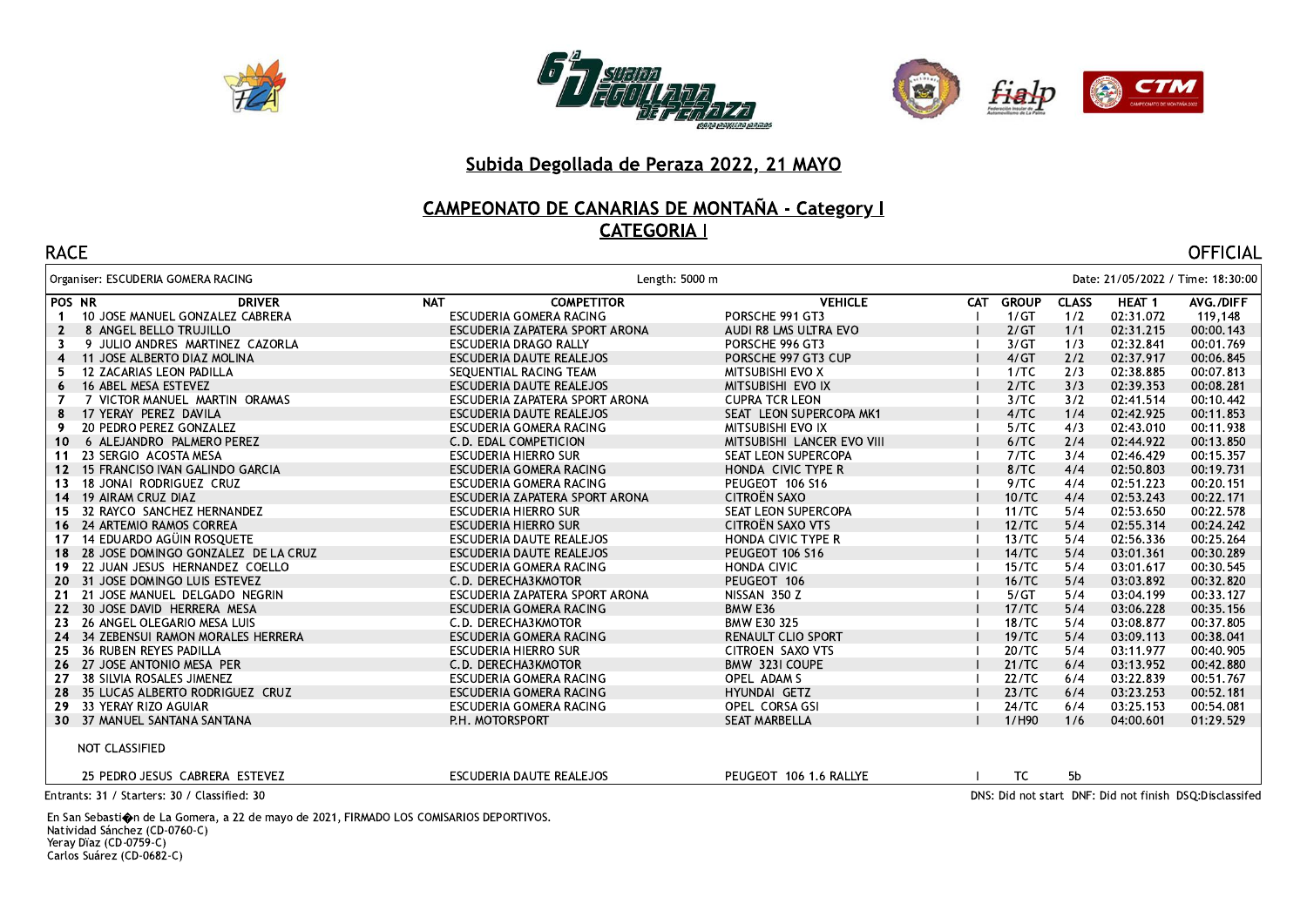





## **CAMPEONATO DE CANARIAS DE MONTAÑA - Category | CATEGORIA I**

| <b>RACE</b>                                    |                                 |                            |           |                |           | <b>OFFICIAL</b>                                          |
|------------------------------------------------|---------------------------------|----------------------------|-----------|----------------|-----------|----------------------------------------------------------|
| Organiser: ESCUDERIA GOMERA RACING             |                                 | Length: 5000 m             |           |                |           | Date: 21/05/2022 / Time: 18:30:00                        |
| POS NR<br><b>DRIVER</b>                        | <b>NAT</b><br><b>COMPETITOR</b> | <b>VEHICLE</b>             | CAT GROUP | <b>CLASS</b>   | HEAT 1    | AVG./DIFF                                                |
| 10 JOSE MANUEL GONZALEZ CABRERA<br>$\mathbf 1$ | ESCUDERIA GOMERA RACING         | PORSCHE 991 GT3            | 1/GT      | 1/2            | 02:31.072 | 119,148                                                  |
| 8 ANGEL BELLO TRUJILLO<br>2                    | ESCUDERIA ZAPATERA SPORT ARONA  | AUDI R8 LMS ULTRA EVO      | 2/GT      | 1/1            | 02:31.215 | 00:00.143                                                |
| 9 JULIO ANDRES MARTINEZ CAZORLA<br>3           | ESCUDERIA DRAGO RALLY           | PORSCHE 996 GT3            | 3/GT      | 1/3            | 02:32.841 | 00:01.769                                                |
| 11 JOSE ALBERTO DIAZ MOLINA<br>4               | ESCUDERIA DAUTE REALEJOS        | PORSCHE 997 GT3 CUP        | 4/GT      | 2/2            | 02:37.917 | 00:06.845                                                |
| 12 ZACARIAS LEON PADILLA                       | SEOUENTIAL RACING TEAM          | <b>MITSUBISHI EVO X</b>    | 1/TC      | 2/3            | 02:38.885 | 00:07.813                                                |
| 16 ABEL MESA ESTEVEZ                           | ESCUDERIA DAUTE REALEJOS        | MITSUBISHI EVO IX          | 2/TC      | 3/3            | 02:39.353 | 00:08.281                                                |
| 7 VICTOR MANUEL MARTIN ORAMAS                  | ESCUDERIA ZAPATERA SPORT ARONA  | <b>CUPRA TCR LEON</b>      | 3/TC      | 3/2            | 02:41.514 | 00:10.442                                                |
| 17 YERAY PEREZ DAVILA                          | ESCUDERIA DAUTE REALEJOS        | SEAT LEON SUPERCOPA MK1    | 4/TC      | 1/4            | 02:42.925 | 00:11.853                                                |
| 20 PEDRO PEREZ GONZALEZ<br>9                   | ESCUDERIA GOMERA RACING         | MITSUBISHI EVO IX          | 5/TC      | 4/3            | 02:43.010 | 00:11.938                                                |
| 6 ALEJANDRO PALMERO PEREZ<br>10                | C.D. EDAL COMPETICION           | MITSUBISHI LANCER EVO VIII | 6/TC      | 2/4            | 02:44.922 | 00:13.850                                                |
| 23 SERGIO ACOSTA MESA<br>11                    | <b>ESCUDERIA HIERRO SUR</b>     | SEAT LEON SUPERCOPA        | 7/TC      | 3/4            | 02:46.429 | 00:15.357                                                |
| 15 FRANCISO IVAN GALINDO GARCIA<br>12          | ESCUDERIA GOMERA RACING         | HONDA CIVIC TYPE R         | 8/TC      | 4/4            | 02:50.803 | 00:19.731                                                |
| 18 JONAI RODRIGUEZ CRUZ<br>13                  | ESCUDERIA GOMERA RACING         | PEUGEOT 106 S16            | 9/TC      | 4/4            | 02:51.223 | 00:20.151                                                |
| 19 AIRAM CRUZ DIAZ<br>14                       | ESCUDERIA ZAPATERA SPORT ARONA  | CITROËN SAXO               | 10/TC     | 4/4            | 02:53.243 | 00:22.171                                                |
| 32 RAYCO SANCHEZ HERNANDEZ<br>15               | ESCUDERIA HIERRO SUR            | SEAT LEON SUPERCOPA        | 11/TC     | 5/4            | 02:53.650 | 00:22.578                                                |
| 16 24 ARTEMIO RAMOS CORREA                     | ESCUDERIA HIERRO SUR            | CITROËN SAXO VTS           | 12/TC     | 5/4            | 02:55.314 | 00:24.242                                                |
| 14 EDUARDO AGÜIN ROSQUETE<br>17                | ESCUDERIA DAUTE REALEJOS        | HONDA CIVIC TYPE R         | 13/TC     | 5/4            | 02:56.336 | 00:25.264                                                |
| 28 JOSE DOMINGO GONZALEZ DE LA CRUZ<br>18      | ESCUDERIA DAUTE REALEJOS        | PEUGEOT 106 S16            | 14/TC     | 5/4            | 03:01.361 | 00:30.289                                                |
| 22 JUAN JESUS HERNANDEZ COELLO<br>19.          | ESCUDERIA GOMERA RACING         | <b>HONDA CIVIC</b>         | 15/TC     | 5/4            | 03:01.617 | 00:30.545                                                |
| 31 JOSE DOMINGO LUIS ESTEVEZ<br>20             | C.D. DERECHA3KMOTOR             | PEUGEOT 106                | 16/TC     | 5/4            | 03:03.892 | 00:32.820                                                |
| 21 JOSE MANUEL DELGADO NEGRIN<br>21            | ESCUDERIA ZAPATERA SPORT ARONA  | NISSAN 350 Z               | 5/GT      | 5/4            | 03:04.199 | 00:33.127                                                |
| 22 30 JOSE DAVID HERRERA MESA                  | ESCUDERIA GOMERA RACING         | BMW E36                    | 17/TC     | 5/4            | 03:06.228 | 00:35.156                                                |
| 26 ANGEL OLEGARIO MESA LUIS<br>23              | C.D. DERECHA3KMOTOR             | BMW E30 325                | 18/TC     | 5/4            | 03:08.877 | 00:37.805                                                |
| 24 34 ZEBENSUI RAMON MORALES HERRERA           | ESCUDERIA GOMERA RACING         | <b>RENAULT CLIO SPORT</b>  | 19/TC     | 5/4            | 03:09.113 | 00:38.041                                                |
| 36 RUBEN REYES PADILLA<br>25                   | <b>ESCUDERIA HIERRO SUR</b>     | CITROEN SAXO VTS           | 20/TC     | 5/4            | 03:11.977 | 00:40.905                                                |
| 26 27 JOSE ANTONIO MESA PER                    | C.D. DERECHA3KMOTOR             | BMW 323I COUPE             | 21/TC     | 6/4            | 03:13.952 | 00:42.880                                                |
| 38 SILVIA ROSALES JIMENEZ<br>27                | ESCUDERIA GOMERA RACING         | OPEL ADAM S                | 22/TC     | 6/4            | 03:22.839 | 00:51.767                                                |
| 28 35 LUCAS ALBERTO RODRIGUEZ CRUZ             | ESCUDERIA GOMERA RACING         | HYUNDAI GETZ               | 23/TC     | 6/4            | 03:23.253 | 00:52.181                                                |
| 33 YERAY RIZO AGUIAR<br>29                     | ESCUDERIA GOMERA RACING         | OPEL CORSA GSI             | 24/TC     | 6/4            | 03:25.153 | 00:54.081                                                |
| 30 37 MANUEL SANTANA SANTANA                   | P.H. MOTORSPORT                 | SEAT MARBELLA              | 1/H90     | 1/6            | 04:00.601 | 01:29.529                                                |
| NOT CLASSIFIED                                 |                                 |                            |           |                |           |                                                          |
| 25 PEDRO JESUS CABRERA ESTEVEZ                 | ESCUDERIA DAUTE REALEJOS        | PEUGEOT 106 1.6 RALLYE     | TC        | 5 <sub>b</sub> |           |                                                          |
| Entrants: 31 / Starters: 30 / Classified: 30   |                                 |                            |           |                |           | DNS: Did not start DNF: Did not finish DSQ: Disclassifed |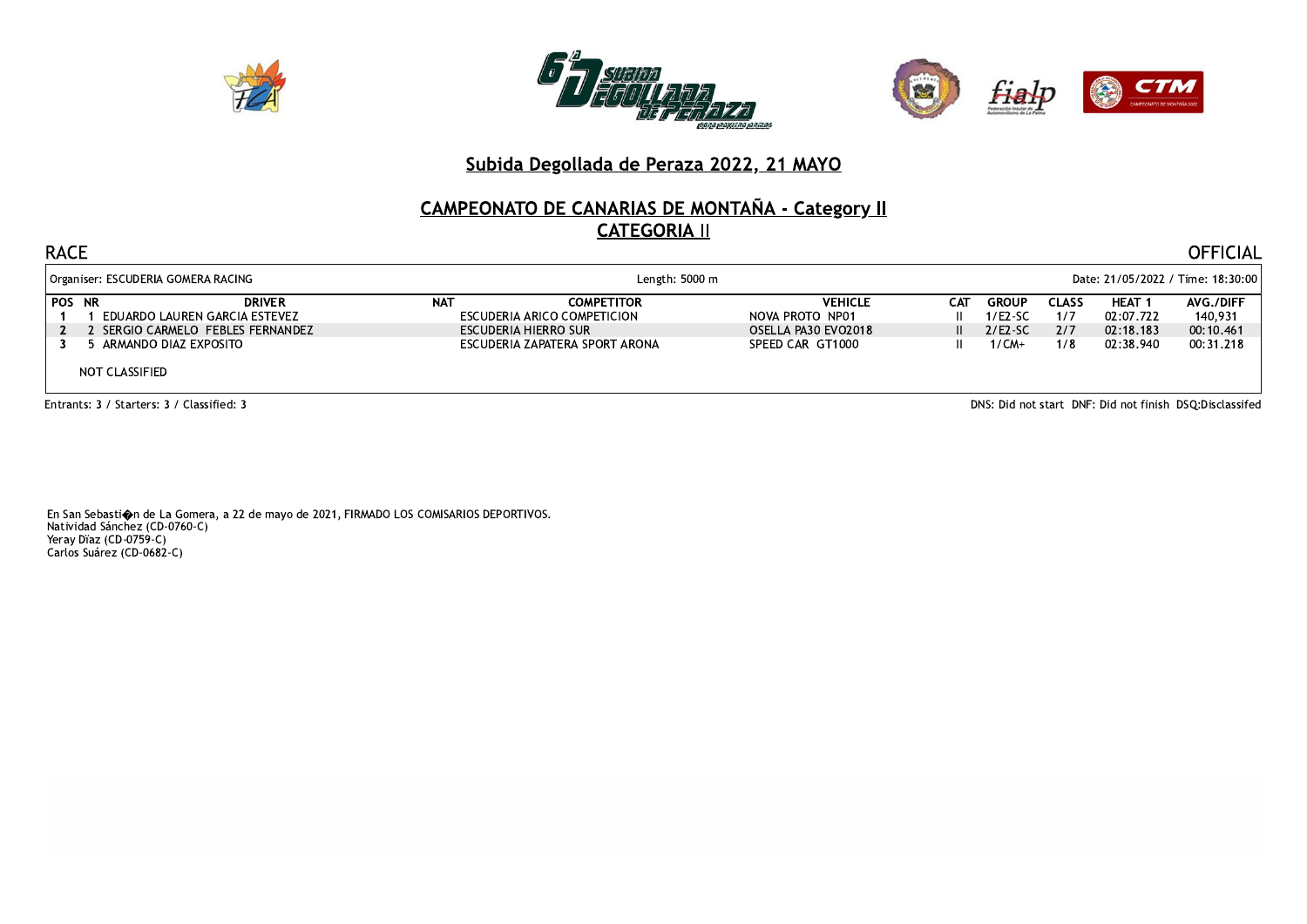





# **CAMPEONATO DE CANARIAS DE MONTAÑA - Category II CATEGORIA II**

#### **RACE**

| Organiser: ESCUDERIA GOMERA RACING                              |     | Length: 5000 m                                   |                                   |     | Date: 21/05/2022 / Time: 18:30:00 |                     |                            |                      |  |  |
|-----------------------------------------------------------------|-----|--------------------------------------------------|-----------------------------------|-----|-----------------------------------|---------------------|----------------------------|----------------------|--|--|
| <b>POS NR</b><br><b>DRIVER</b><br>EDUARDO LAUREN GARCIA ESTEVEZ | NAT | <b>COMPETITOR</b><br>ESCUDERIA ARICO COMPETICION | <b>VEHICLE</b><br>NOVA PROTO NP01 | САТ | <b>GROUP</b><br>$1/E2-SC$         | <b>CLASS</b><br>1/7 | <b>HEAT 1</b><br>02:07.722 | AVG./DIFF<br>140.931 |  |  |
| SERGIO CARMELO FEBLES FERNANDEZ                                 |     | ESCUDERIA HIERRO SUR                             | OSELLA PA30 EVO2018               |     | $2/ES-SC$                         | 2/7                 | 02:18.183                  | 00:10.461            |  |  |
| 6 ARMANDO DIAZ EXPOSITO<br>NOT CLASSIFIED                       |     | ESCUDERIA ZAPATERA SPORT ARONA                   | SPEED CAR GT1000                  |     | 1/CM+                             | 1/8                 | 02:38.940                  | 00:31.218            |  |  |

Entrants: 3 / Starters: 3 / Classified: 3

DNS: Did not start DNF: Did not finish DSQ:Disclassifed

**OFFICIAL**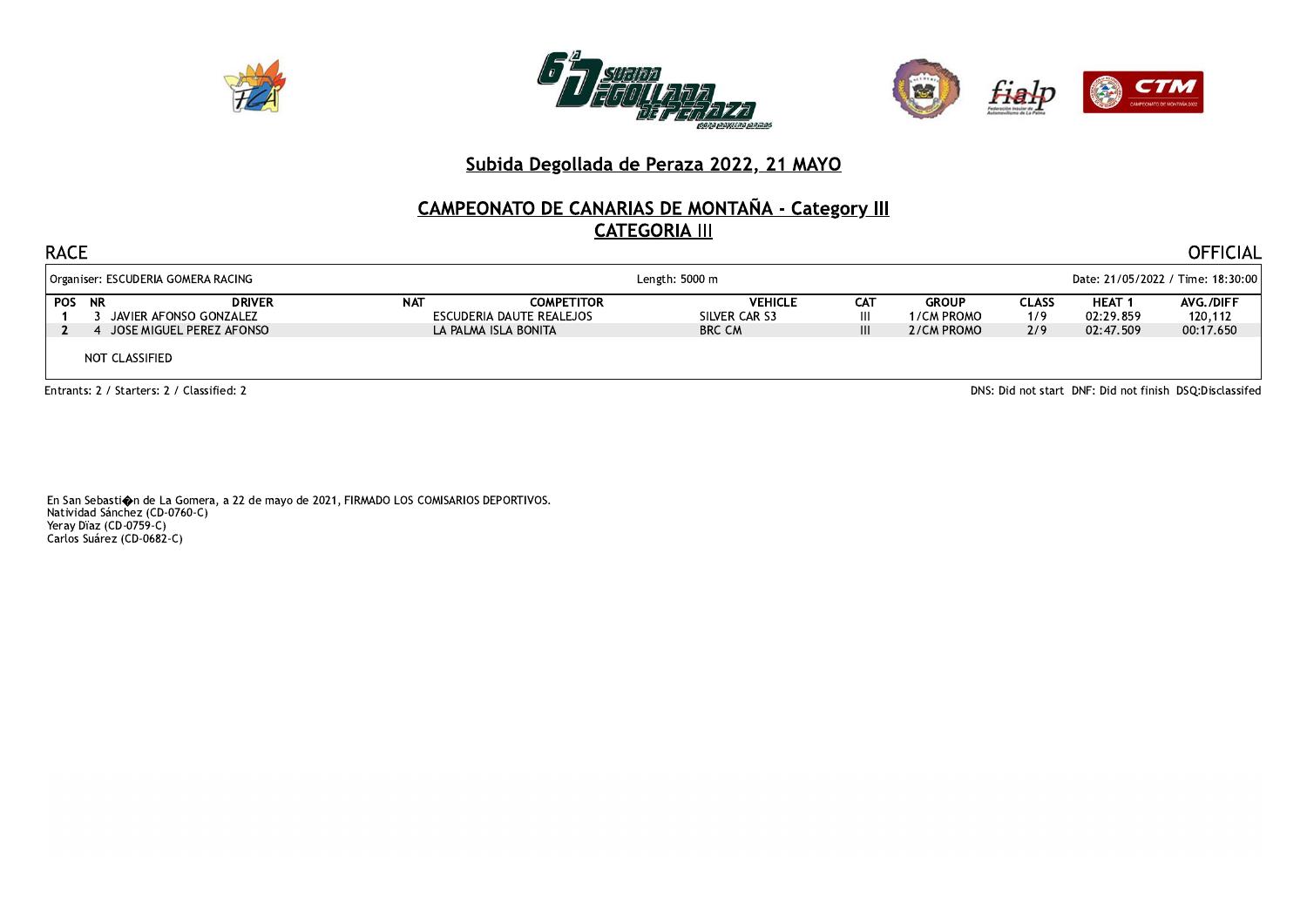





# CAMPEONATO DE CANARIAS DE MONTAÑA - Category III

| <b>RACE</b>                                                  |               |            |                                                                       |                                                         |                      |                                          |                                   |                                         | <b>OFFICIAL</b>                   |  |
|--------------------------------------------------------------|---------------|------------|-----------------------------------------------------------------------|---------------------------------------------------------|----------------------|------------------------------------------|-----------------------------------|-----------------------------------------|-----------------------------------|--|
| Organiser: ESCUDERIA GOMERA RACING                           |               |            | Length: 5000 m                                                        |                                                         |                      |                                          | Date: 21/05/2022 / Time: 18:30:00 |                                         |                                   |  |
| POS NR<br>JAVIER AFONSO GONZALEZ<br>JOSE MIGUEL PEREZ AFONSO | <b>DRIVER</b> | <b>NAT</b> | <b>COMPETITOR</b><br>ESCUDERIA DAUTE REALEJOS<br>LA PALMA ISLA BONITA | <b>VEHICLE</b><br>SILVER CAR S3<br><b>BRC CM</b>        | <b>CAT</b><br>Ш<br>Ш | <b>GROUP</b><br>1/CM PROMO<br>2/CM PROMO | <b>CLASS</b><br>1/9<br>2/9        | <b>HEAT 1</b><br>02:29.859<br>02:47.509 | AVG./DIFF<br>120,112<br>00:17.650 |  |
| NOT CLASSIFIED                                               |               |            |                                                                       |                                                         |                      |                                          |                                   |                                         |                                   |  |
| Entrants: 2 / Starters: 2 / Classified: 2                    |               |            |                                                                       | DNS: Did not start DNF: Did not finish DSQ:Disclassifed |                      |                                          |                                   |                                         |                                   |  |

En San Sebasti $\spadesuit$ n de La Gomera, a 22 de mayo de 2021, FIRMADO LOS COMISARIOS DEPORTIVOS. Natividad Sánchez (CD-0760-C)<br>Natividad Sánchez (CD-0760-C)<br>Carlos Suárez (CD-0682-C)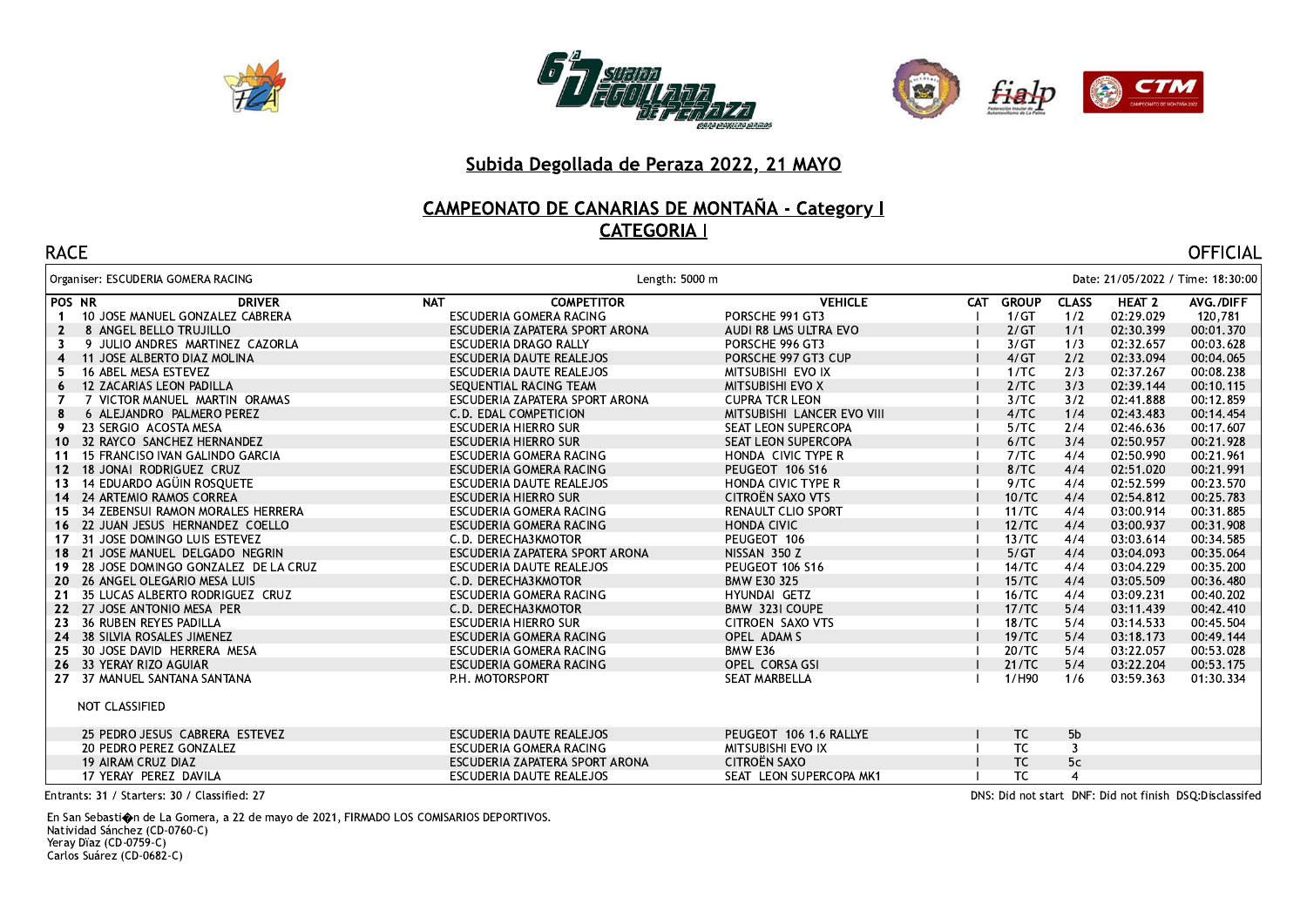





## CAMPEONATO DE CANARIAS DE MONTAÑA - Category I **CATEGORIA I**

| <b>RACE</b>                                          |            |                                |                            |            |              |                |                   | <b>OFFICIAL</b>                   |
|------------------------------------------------------|------------|--------------------------------|----------------------------|------------|--------------|----------------|-------------------|-----------------------------------|
| Organiser: ESCUDERIA GOMERA RACING                   |            | Length: 5000 m                 |                            |            |              |                |                   | Date: 21/05/2022 / Time: 18:30:00 |
| POS NR<br><b>DRIVER</b>                              | <b>NAT</b> | <b>COMPETITOR</b>              | <b>VEHICLE</b>             | <b>CAT</b> | <b>GROUP</b> | <b>CLASS</b>   | HEAT <sub>2</sub> | AVG./DIFF                         |
| 10 JOSE MANUEL GONZALEZ CABRERA<br>$\mathbf 1$       |            | ESCUDERIA GOMERA RACING        | PORSCHE 991 GT3            |            | 1/GT         | 1/2            | 02:29.029         | 120,781                           |
| 8 ANGEL BELLO TRUJILLO<br>$\mathbf{2}$               |            | ESCUDERIA ZAPATERA SPORT ARONA | AUDI R8 LMS ULTRA EVO      |            | 2/GT         | 1/1            | 02:30.399         | 00:01.370                         |
| 9 JULIO ANDRES MARTINEZ CAZORLA<br>3                 |            | ESCUDERIA DRAGO RALLY          | PORSCHE 996 GT3            |            | 3/GT         | 1/3            | 02:32.657         | 00:03.628                         |
| 11 JOSE ALBERTO DIAZ MOLINA<br>4                     |            | ESCUDERIA DAUTE REALEJOS       | PORSCHE 997 GT3 CUP        |            | 4/GT         | 2/2            | 02:33.094         | 00:04.065                         |
| 16 ABEL MESA ESTEVEZ<br>5.                           |            | ESCUDERIA DAUTE REALEJOS       | MITSUBISHI EVO IX          |            | 1/TC         | 2/3            | 02:37.267         | 00:08.238                         |
| 12 ZACARIAS LEON PADILLA<br>6                        |            | SEQUENTIAL RACING TEAM         | <b>MITSUBISHI EVO X</b>    |            | 2/TC         | 3/3            | 02:39.144         | 00:10.115                         |
| 7 VICTOR MANUEL MARTIN ORAMAS<br>7                   |            | ESCUDERIA ZAPATERA SPORT ARONA | <b>CUPRA TCR LEON</b>      |            | 3/TC         | 3/2            | 02:41.888         | 00:12.859                         |
| 6 ALEJANDRO PALMERO PEREZ<br>8                       |            | C.D. EDAL COMPETICION          | MITSUBISHI LANCER EVO VIII |            | 4/TC         | 1/4            | 02:43.483         | 00:14.454                         |
| 23 SERGIO ACOSTA MESA<br>9.                          |            | <b>ESCUDERIA HIERRO SUR</b>    | SEAT LEON SUPERCOPA        |            | 5/TC         | 2/4            | 02:46.636         | 00:17.607                         |
| 32 RAYCO SANCHEZ HERNANDEZ<br>10                     |            | <b>ESCUDERIA HIERRO SUR</b>    | SEAT LEON SUPERCOPA        |            | 6/TC         | 3/4            | 02:50.957         | 00:21.928                         |
| 15 FRANCISO IVAN GALINDO GARCIA<br>-11               |            | ESCUDERIA GOMERA RACING        | HONDA CIVIC TYPE R         |            | 7/TC         | 4/4            | 02:50.990         | 00:21.961                         |
| 18 JONAI RODRIGUEZ CRUZ<br>12 <sup>7</sup>           |            | ESCUDERIA GOMERA RACING        | PEUGEOT 106 S16            |            | 8/TC         | 4/4            | 02:51.020         | 00:21.991                         |
| 14 EDUARDO AGÜIN ROSQUETE<br>13                      |            | ESCUDERIA DAUTE REALEJOS       | HONDA CIVIC TYPE R         |            | 9/TC         | 4/4            | 02:52.599         | 00:23.570                         |
| 24 ARTEMIO RAMOS CORREA<br>14                        |            | ESCUDERIA HIERRO SUR           | CITROËN SAXO VTS           |            | 10/TC        | 4/4            | 02:54.812         | 00:25.783                         |
| 34 ZEBENSUI RAMON MORALES HERRERA<br>15 <sub>1</sub> |            | ESCUDERIA GOMERA RACING        | <b>RENAULT CLIO SPORT</b>  |            | 11/TC        | 4/4            | 03:00.914         | 00:31.885                         |
| 16 22 JUAN JESUS HERNANDEZ COELLO                    |            | ESCUDERIA GOMERA RACING        | <b>HONDA CIVIC</b>         |            | 12/TC        | 4/4            | 03:00.937         | 00:31.908                         |
| 31 JOSE DOMINGO LUIS ESTEVEZ<br>17                   |            | C.D. DERECHA3KMOTOR            | PEUGEOT 106                |            | 13/TC        | 4/4            | 03:03.614         | 00:34.585                         |
| 18 21 JOSE MANUEL DELGADO NEGRIN                     |            | ESCUDERIA ZAPATERA SPORT ARONA | NISSAN 350 Z               |            | 5/GT         | 4/4            | 03:04.093         | 00:35.064                         |
| 28 JOSE DOMINGO GONZALEZ DE LA CRUZ<br>19.           |            | ESCUDERIA DAUTE REALEJOS       | PEUGEOT 106 S16            |            | 14/TC        | 4/4            | 03:04.229         | 00:35.200                         |
| 20 26 ANGEL OLEGARIO MESA LUIS                       |            | C.D. DERECHA3KMOTOR            | <b>BMW E30 325</b>         |            | 15/TC        | 4/4            | 03:05.509         | 00:36.480                         |
| 35 LUCAS ALBERTO RODRIGUEZ CRUZ<br>21                |            | ESCUDERIA GOMERA RACING        | HYUNDAI GETZ               |            | 16/TC        | 4/4            | 03:09.231         | 00:40.202                         |
| 22 27 JOSE ANTONIO MESA PER                          |            | C.D. DERECHA3KMOTOR            | BMW 323I COUPE             |            | 17/TC        | 5/4            | 03:11.439         | 00:42.410                         |
| 36 RUBEN REYES PADILLA<br>23                         |            | <b>ESCUDERIA HIERRO SUR</b>    | CITROEN SAXO VTS           |            | 18/TC        | 5/4            | 03:14.533         | 00:45.504                         |
| 24 38 SILVIA ROSALES JIMENEZ                         |            | ESCUDERIA GOMERA RACING        | OPEL ADAM S                |            | 19/TC        | 5/4            | 03:18.173         | 00:49.144                         |
| 30 JOSE DAVID HERRERA MESA<br>25                     |            | ESCUDERIA GOMERA RACING        | BMW E36                    |            | 20/TC        | 5/4            | 03:22.057         | 00:53.028                         |
| 26 33 YERAY RIZO AGUIAR                              |            | ESCUDERIA GOMERA RACING        | OPEL CORSA GSI             |            | 21/TC        | 5/4            | 03:22.204         | 00:53.175                         |
| 37 MANUEL SANTANA SANTANA<br>27                      |            | P.H. MOTORSPORT                | SEAT MARBELLA              |            | 1/H90        | 1/6            | 03:59.363         | 01:30.334                         |
| NOT CLASSIFIED                                       |            |                                |                            |            |              |                |                   |                                   |
| 25 PEDRO JESUS CABRERA ESTEVEZ                       |            | ESCUDERIA DAUTE REALEJOS       | PEUGEOT 106 1.6 RALLYE     |            | TC           | 5 <sub>b</sub> |                   |                                   |
| 20 PEDRO PEREZ GONZALEZ                              |            | ESCUDERIA GOMERA RACING        | MITSUBISHI EVO IX          |            | TC           | 3              |                   |                                   |
| 19 AIRAM CRUZ DIAZ                                   |            | ESCUDERIA ZAPATERA SPORT ARONA | CITROËN SAXO               |            | TC           | 5c             |                   |                                   |
| 17 YERAY PEREZ DAVILA                                |            | ESCUDERIA DAUTE REALEJOS       | SEAT LEON SUPERCOPA MK1    |            | <b>TC</b>    | $\overline{4}$ |                   |                                   |

Entrants: 31 / Starters: 30 / Classified: 27

En San Sebastion de La Gomera, a 22 de mayo de 2021, FIRMADO LOS COMISARIOS DEPORTIVOS. Natividad Sánchez (CD-0760-C) Natividad Janchez (CD-076<br>Yeray Dïaz (CD-0759-C)<br>Carlos Suárez (CD-0682-C)

DNS: Did not start DNF: Did not finish DSQ:Disclassifed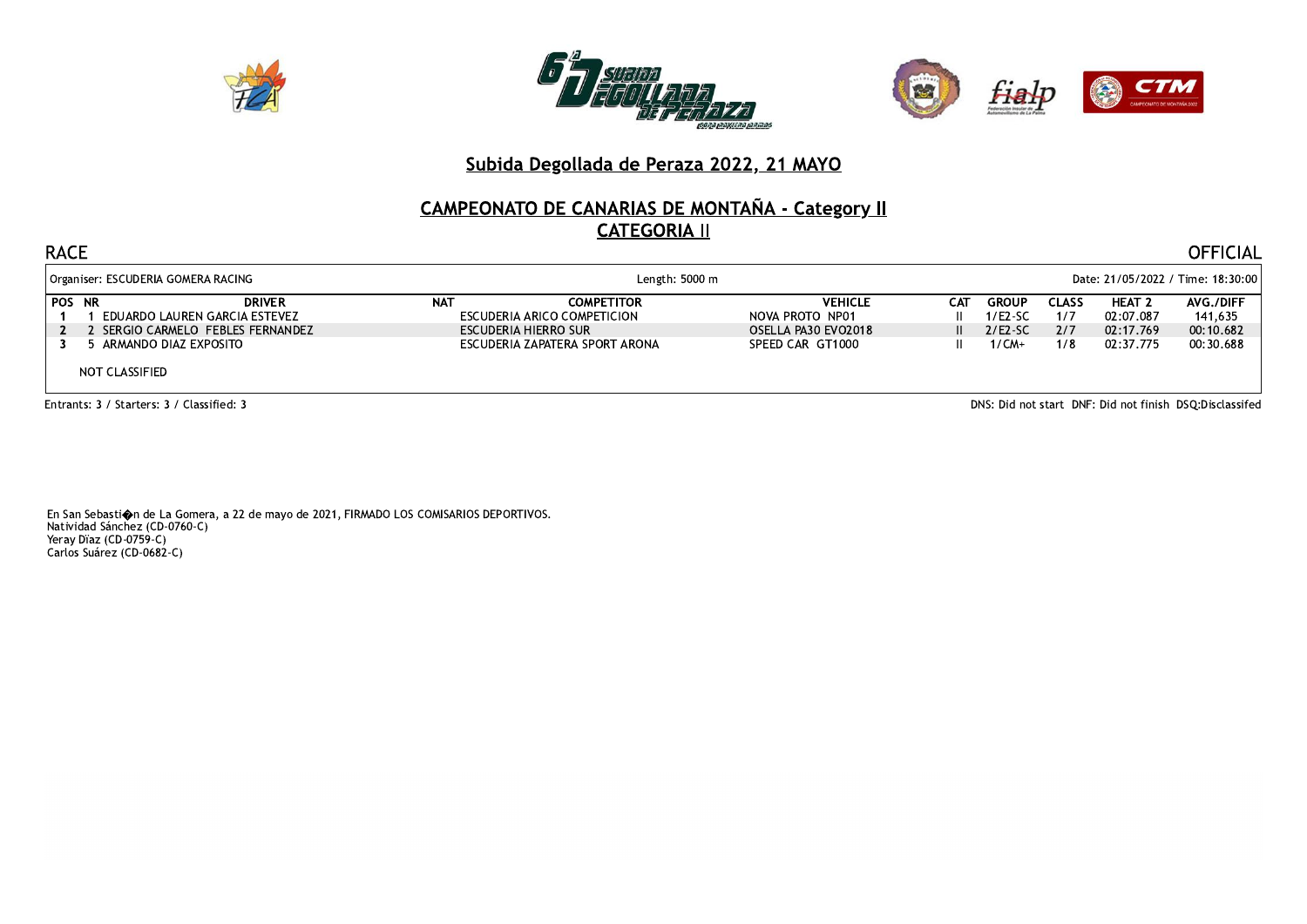





# **CAMPEONATO DE CANARIAS DE MONTAÑA - Category II CATEGORIA II**

#### **RACE**

| Organiser: ESCUDERIA GOMERA RACING                              |            | Length: 5000 m                                   |                                   |              | Date: 21/05/2022 / Time: 18:30:00 |              |                            |                             |  |  |
|-----------------------------------------------------------------|------------|--------------------------------------------------|-----------------------------------|--------------|-----------------------------------|--------------|----------------------------|-----------------------------|--|--|
| <b>POS NR</b><br><b>DRIVER</b><br>EDUARDO LAUREN GARCIA ESTEVEZ | <b>NAT</b> | <b>COMPETITOR</b><br>ESCUDERIA ARICO COMPETICION | <b>VEHICLE</b><br>NOVA PROTO NP01 | САТ          | <b>GROUP</b><br>$1/E2-SC$         | CLASS<br>1/7 | <b>HEAT 2</b><br>02:07.087 | <b>AVG./DIFF</b><br>141,635 |  |  |
| 2 SERGIO CARMELO FEBLES FERNANDEZ                               |            | ESCUDERIA HIERRO SUR                             | OSELLA PA30 EVO2018               | $\mathbf{H}$ | $2/ES-SC$                         | 2/7          | 02:17.769                  | 00:10.682                   |  |  |
| ARMANDO DIAZ EXPOSITO                                           |            | ESCUDERIA ZAPATERA SPORT ARONA                   | SPEED CAR GT1000                  |              | $1/CM+$                           | 1/8          | 02:37.775                  | 00:30.688                   |  |  |
| NOT CLASSIFIED                                                  |            |                                                  |                                   |              |                                   |              |                            |                             |  |  |

Entrants: 3 / Starters: 3 / Classified: 3

DNS: Did not start DNF: Did not finish DSQ:Disclassifed

**OFFICIAL**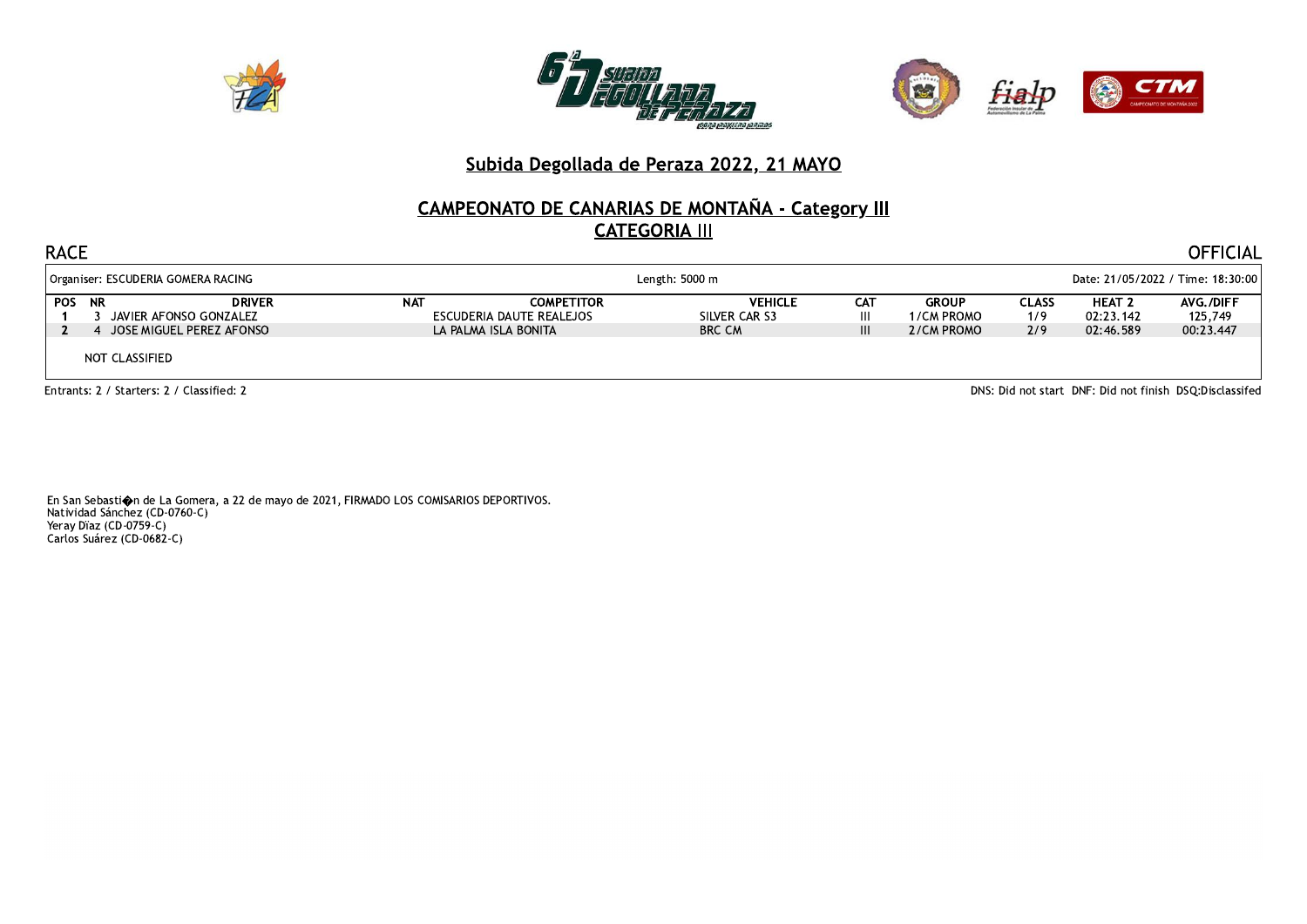





## **CAMPEONATO DE CANARIAS DE MONTAÑA - Category III CATEGORIA III**

| <b>RACE</b>                                                                          |            |                                                                       |                                                  |               |                                          |                            |                                             | OFFICIAL                                                 |  |
|--------------------------------------------------------------------------------------|------------|-----------------------------------------------------------------------|--------------------------------------------------|---------------|------------------------------------------|----------------------------|---------------------------------------------|----------------------------------------------------------|--|
| Organiser: ESCUDERIA GOMERA RACING                                                   |            | Length: 5000 m                                                        |                                                  |               |                                          |                            | Date: 21/05/2022 / Time: 18:30:00           |                                                          |  |
| <b>POS NR</b><br><b>DRIVER</b><br>JAVIER AFONSO GONZALEZ<br>JOSE MIGUEL PEREZ AFONSO | <b>NAT</b> | <b>COMPETITOR</b><br>ESCUDERIA DAUTE REALEJOS<br>LA PALMA ISLA BONITA | <b>VEHICLE</b><br>SILVER CAR S3<br><b>BRC CM</b> | CAT<br>Ш<br>Ш | <b>GROUP</b><br>1/CM PROMO<br>2/CM PROMO | <b>CLASS</b><br>1/9<br>2/9 | HEAT <sub>2</sub><br>02:23.142<br>02:46.589 | AVG./DIFF<br>125,749<br>00:23.447                        |  |
| NOT CLASSIFIED                                                                       |            |                                                                       |                                                  |               |                                          |                            |                                             |                                                          |  |
| Fotrants: 2 / Starters: 2 / Classified: 2                                            |            |                                                                       |                                                  |               |                                          |                            |                                             | DNS: Did not start DNF: Did not finish DSO: Disclassifed |  |

En San Sebasti $\spadesuit$ n de La Gomera, a 22 de mayo de 2021, FIRMADO LOS COMISARIOS DEPORTIVOS. Natividad Sánchez (CD-0760-C)<br>Natividad Sánchez (CD-0760-C)<br>Carlos Suárez (CD-0682-C)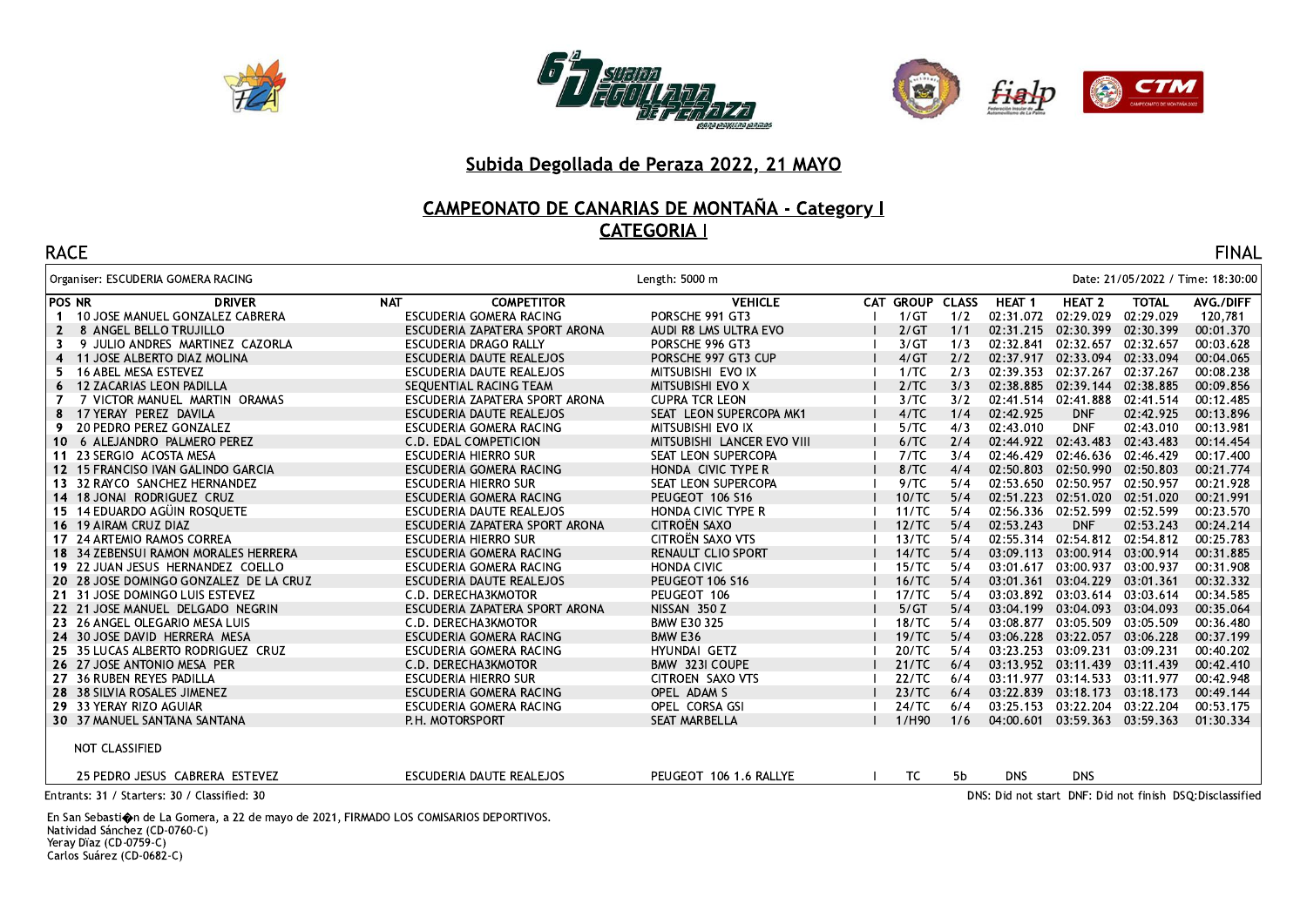





# CAMPEONATO DE CANARIAS DE MONTAÑA - Category I

| <b>RACE</b>  |                                              |     |                                |                            |                 |     |                   |                                 |              | <b>FINAL</b>                                              |
|--------------|----------------------------------------------|-----|--------------------------------|----------------------------|-----------------|-----|-------------------|---------------------------------|--------------|-----------------------------------------------------------|
|              | Organiser: ESCUDERIA GOMERA RACING           |     |                                | Length: 5000 m             |                 |     |                   |                                 |              | Date: 21/05/2022 / Time: 18:30:00                         |
| POS NR       | <b>DRIVER</b>                                | NAT | <b>COMPETITOR</b>              | <b>VEHICLE</b>             | CAT GROUP CLASS |     | HEAT <sub>1</sub> | HEAT <sub>2</sub>               | <b>TOTAL</b> | AVG./DIFF                                                 |
|              | 10 JOSE MANUEL GONZALEZ CABRERA              |     | ESCUDERIA GOMERA RACING        | PORSCHE 991 GT3            | 1/GT            | 1/2 | 02:31.072         | 02:29.029                       | 02:29.029    | 120,781                                                   |
| $\mathbf{2}$ | 8 ANGEL BELLO TRUJILLO                       |     | ESCUDERIA ZAPATERA SPORT ARONA | AUDI R8 LMS ULTRA EVO      | 2/GT            | 1/1 |                   | 02:31.215 02:30.399             | 02:30.399    | 00:01.370                                                 |
| 3            | 9 JULIO ANDRES MARTINEZ CAZORLA              |     | ESCUDERIA DRAGO RALLY          | PORSCHE 996 GT3            | 3/GT            | 1/3 | 02:32.841         | 02:32.657                       | 02:32.657    | 00:03.628                                                 |
|              | 4 11 JOSE ALBERTO DIAZ MOLINA                |     | ESCUDERIA DAUTE REALEJOS       | PORSCHE 997 GT3 CUP        | 4/GT            | 2/2 |                   | 02:37.917 02:33.094             | 02:33.094    | 00:04.065                                                 |
| 5.           | 16 ABEL MESA ESTEVEZ                         |     | ESCUDERIA DAUTE REALEJOS       | MITSUBISHI EVO IX          | 1/TC            | 2/3 | 02:39.353         | 02:37.267                       | 02:37.267    | 00:08.238                                                 |
| 6            | 12 ZACARIAS LEON PADILLA                     |     | SEOUENTIAL RACING TEAM         | <b>MITSUBISHI EVO X</b>    | 2/TC            | 3/3 |                   | 02:38.885  02:39.144  02:38.885 |              | 00:09.856                                                 |
|              | 7 VICTOR MANUEL MARTIN ORAMAS                |     | ESCUDERIA ZAPATERA SPORT ARONA | <b>CUPRA TCR LEON</b>      | 3/TC            | 3/2 |                   | 02:41.514 02:41.888             | 02:41.514    | 00:12.485                                                 |
| 8            | 17 YERAY PEREZ DAVILA                        |     | ESCUDERIA DAUTE REALEJOS       | SEAT LEON SUPERCOPA MK1    | 4/TC            | 1/4 | 02:42.925         | <b>DNF</b>                      | 02:42.925    | 00:13.896                                                 |
| 9            | 20 PEDRO PEREZ GONZALEZ                      |     | ESCUDERIA GOMERA RACING        | MITSUBISHI EVO IX          | 5/TC            | 4/3 | 02:43.010         | <b>DNF</b>                      | 02:43.010    | 00:13.981                                                 |
| 10           | 6 ALEJANDRO PALMERO PEREZ                    |     | C.D. EDAL COMPETICION          | MITSUBISHI LANCER EVO VIII | 6/TC            | 2/4 |                   | 02:44.922 02:43.483 02:43.483   |              | 00:14.454                                                 |
|              | 11 23 SERGIO ACOSTA MESA                     |     | <b>ESCUDERIA HIERRO SUR</b>    | SEAT LEON SUPERCOPA        | 7/TC            | 3/4 | 02:46.429         | 02:46.636 02:46.429             |              | 00:17.400                                                 |
|              | 12 15 FRANCISO IVAN GALINDO GARCIA           |     | ESCUDERIA GOMERA RACING        | HONDA CIVIC TYPE R         | 8/TC            | 4/4 | 02:50.803         | 02:50.990 02:50.803             |              | 00:21.774                                                 |
|              | 13 32 RAYCO SANCHEZ HERNANDEZ                |     | <b>ESCUDERIA HIERRO SUR</b>    | SEAT LEON SUPERCOPA        | 9/TC            | 5/4 |                   | 02:53.650 02:50.957             | 02:50.957    | 00:21.928                                                 |
|              | 14 18 JONAI RODRIGUEZ CRUZ                   |     | ESCUDERIA GOMERA RACING        | PEUGEOT 106 S16            | 10/TC           | 5/4 |                   | 02:51.223 02:51.020 02:51.020   |              | 00:21.991                                                 |
|              | 15 14 EDUARDO AGÜIN ROSQUETE                 |     | ESCUDERIA DAUTE REALEJOS       | HONDA CIVIC TYPE R         | 11/TC           | 5/4 | 02:56.336         | 02:52.599 02:52.599             |              | 00:23.570                                                 |
|              | 16 19 AIRAM CRUZ DIAZ                        |     | ESCUDERIA ZAPATERA SPORT ARONA | CITROËN SAXO               | 12/TC           | 5/4 | 02:53.243         | <b>DNF</b>                      | 02:53.243    | 00:24.214                                                 |
|              | 17 24 ARTEMIO RAMOS CORREA                   |     | <b>ESCUDERIA HIERRO SUR</b>    | CITROËN SAXO VTS           | 13/TC           | 5/4 | 02:55.314         | 02:54.812                       | 02:54.812    | 00:25.783                                                 |
|              | 18 34 ZEBENSUI RAMON MORALES HERRERA         |     | ESCUDERIA GOMERA RACING        | RENAULT CLIO SPORT         | 14/TC           | 5/4 | 03:09.113         | 03:00.914                       | 03:00.914    | 00:31.885                                                 |
|              | 19 22 JUAN JESUS HERNANDEZ COELLO            |     | ESCUDERIA GOMERA RACING        | <b>HONDA CIVIC</b>         | 15/TC           | 5/4 | 03:01.617         | 03:00.937                       | 03:00.937    | 00:31.908                                                 |
|              | 20 28 JOSE DOMINGO GONZALEZ DE LA CRUZ       |     | ESCUDERIA DAUTE REALEJOS       | PEUGEOT 106 S16            | 16/TC           | 5/4 | 03:01.361         | 03:04.229 03:01.361             |              | 00:32.332                                                 |
|              | 21 31 JOSE DOMINGO LUIS ESTEVEZ              |     | C.D. DERECHA3KMOTOR            | PEUGEOT 106                | 17/TC           | 5/4 |                   | 03:03.892 03:03.614 03:03.614   |              | 00:34.585                                                 |
|              | 22 21 JOSE MANUEL DELGADO NEGRIN             |     | ESCUDERIA ZAPATERA SPORT ARONA | NISSAN 350 Z               | 5/GT            | 5/4 |                   | 03:04.199 03:04.093 03:04.093   |              | 00:35.064                                                 |
|              | 23 26 ANGEL OLEGARIO MESA LUIS               |     | C.D. DERECHA3KMOTOR            | <b>BMW E30 325</b>         | 18/TC           | 5/4 | 03:08.877         | 03:05.509                       | 03:05.509    | 00:36.480                                                 |
|              | 24 30 JOSE DAVID HERRERA MESA                |     | ESCUDERIA GOMERA RACING        | BMW E36                    | 19/TC           | 5/4 |                   | 03:06.228 03:22.057             | 03:06.228    | 00:37.199                                                 |
|              | 25 35 LUCAS ALBERTO RODRIGUEZ CRUZ           |     | ESCUDERIA GOMERA RACING        | HYUNDAI GETZ               | 20/TC           | 5/4 | 03:23.253         | 03:09.231                       | 03:09.231    | 00:40.202                                                 |
|              | 26 27 JOSE ANTONIO MESA PER                  |     | C.D. DERECHA3KMOTOR            | BMW 323I COUPE             | 21/TC           | 6/4 |                   | 03:13.952 03:11.439             | 03:11.439    | 00:42.410                                                 |
|              | 27 36 RUBEN REYES PADILLA                    |     | <b>ESCUDERIA HIERRO SUR</b>    | CITROEN SAXO VTS           | 22/TC           | 6/4 |                   | 03:11.977 03:14.533             | 03:11.977    | 00:42.948                                                 |
|              | 28 38 SILVIA ROSALES JIMENEZ                 |     | ESCUDERIA GOMERA RACING        | OPEL ADAM S                | 23/TC           | 6/4 |                   | 03:22.839 03:18.173 03:18.173   |              | 00:49.144                                                 |
|              | 29 33 YERAY RIZO AGUIAR                      |     | ESCUDERIA GOMERA RACING        | OPEL CORSA GSI             | 24/TC           | 6/4 | 03:25.153         | 03:22.204 03:22.204             |              | 00:53.175                                                 |
|              | 30 37 MANUEL SANTANA SANTANA                 |     | P.H. MOTORSPORT                | <b>SEAT MARBELLA</b>       | 1/H90           | 1/6 | 04:00.601         | 03:59.363 03:59.363             |              | 01:30.334                                                 |
|              | NOT CLASSIFIED                               |     |                                |                            |                 |     |                   |                                 |              |                                                           |
|              | 25 PEDRO JESUS CABRERA ESTEVEZ               |     | ESCUDERIA DAUTE REALEJOS       | PEUGEOT 106 1.6 RALLYE     | TC              | 5b  | <b>DNS</b>        | <b>DNS</b>                      |              |                                                           |
|              | Entrants: 31 / Starters: 30 / Classified: 30 |     |                                |                            |                 |     |                   |                                 |              | DNS: Did not start DNF: Did not finish DSO: Disclassified |

En San Sebasti�n de La Gomera, a 22 de mayo de 2021, FIRMADO LOS COMISARIOS DEPORTIVOS.<br>Natividad Sánchez (CD-0760-C)<br>Yeray Dïaz (CD-0759-C)<br>Carlos Suárez (CD-0682-C)

DNS: Did not start DNF: Did not finish DSO:Disclassified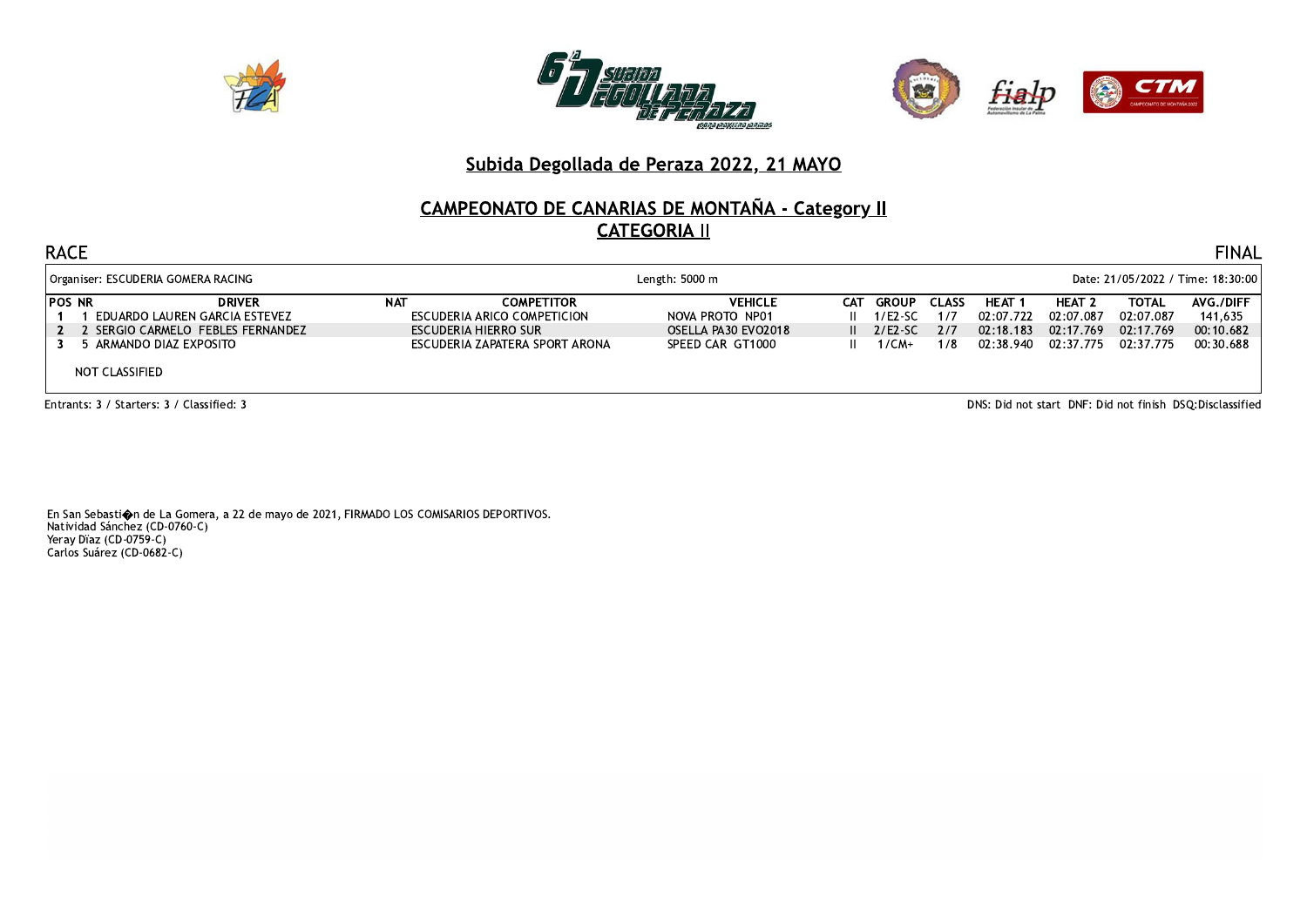





# **CAMPEONATO DE CANARIAS DE MONTAÑA - Category II CATEGORIA II**

#### **RACE**

|        | Organiser: ESCUDERIA GOMERA RACING |                      | Length: $5000 \text{ m}$       |                     |      |         |              | Date: 21/05/2022 / Time: 18:30:00 |               |              |           |  |
|--------|------------------------------------|----------------------|--------------------------------|---------------------|------|---------|--------------|-----------------------------------|---------------|--------------|-----------|--|
| POS NR | <b>DRIVER</b>                      | <b>NAT</b>           | <b>COMPETITOR</b>              | <b>VEHICLE</b>      | CAT. | GROUP   | <b>CLASS</b> | HEAT 1                            | <b>HEAT 2</b> | <b>TOTAL</b> | AVG./DIFF |  |
|        | EDUARDO LAUREN GARCIA ESTEVEZ      |                      | ESCUDERIA ARICO COMPETICION    | NOVA PROTO NP01     |      | 1/E2-SC | 1/7          | 02:07.722                         | 02:07.087     | 02:07.087    | 141.635   |  |
|        | 2 SERGIO CARMELO FEBLES FERNANDEZ  | ESCUDERIA HIERRO SUR |                                | OSELLA PA30 EVO2018 |      | 2/E2-SC | 2/7          | 02:18.183                         | 02:17.769     | 02:17.769    | 00:10.682 |  |
|        | ARMANDO DIAZ EXPOSITO              |                      | ESCUDERIA ZAPATERA SPORT ARONA | SPEED CAR GT1000    |      | $1/CM+$ | 1/8          | 02:38.940 02:37.775               |               | 02:37.775    | 00:30.688 |  |
|        | NOT CLASSIFIED                     |                      |                                |                     |      |         |              |                                   |               |              |           |  |

Entrants: 3 / Starters: 3 / Classified: 3

DNS: Did not start DNF: Did not finish DSQ:Disclassified

**FINAL**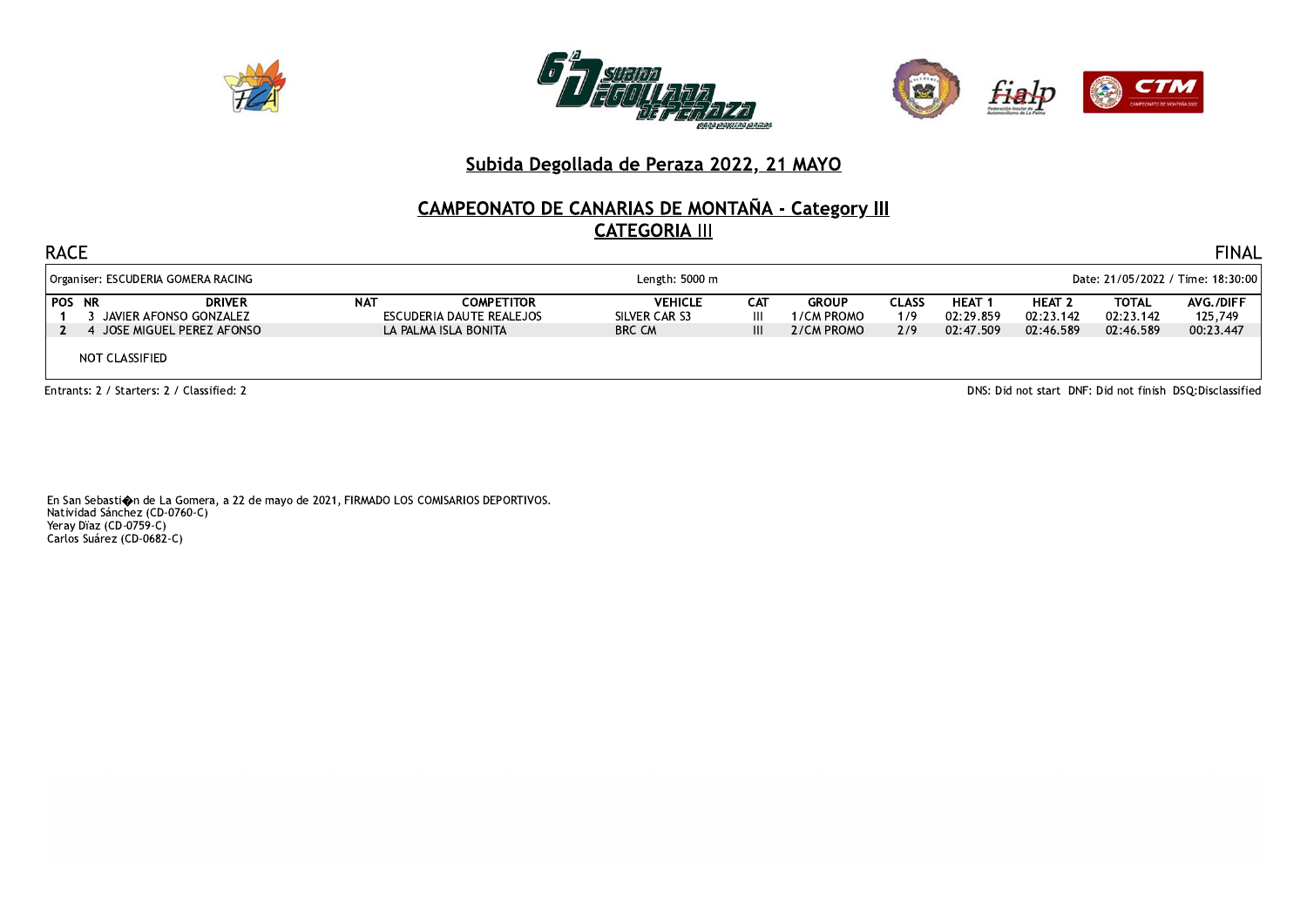





# **CAMPEONATO DE CANARIAS DE MONTAÑA - Category III<br>CATEGORIA III**

| <b>RACE</b>                                                                                              | <b>FINAL</b> |                                                                       |                                                  |               |                                          |                            |                                       |                                         |                                        |                                   |  |
|----------------------------------------------------------------------------------------------------------|--------------|-----------------------------------------------------------------------|--------------------------------------------------|---------------|------------------------------------------|----------------------------|---------------------------------------|-----------------------------------------|----------------------------------------|-----------------------------------|--|
| Length: 5000 m<br>Date: 21/05/2022 / Time: 18:30:00<br>Organiser: ESCUDERIA GOMERA RACING                |              |                                                                       |                                                  |               |                                          |                            |                                       |                                         |                                        |                                   |  |
| <b>POS NR</b><br><b>DRIVER</b><br>JAVIER AFONSO GONZALEZ<br>4 JOSE MIGUEL PEREZ AFONSO<br>NOT CLASSIFIED | <b>NAT</b>   | <b>COMPETITOR</b><br>ESCUDERIA DAUTE REALEJOS<br>LA PALMA ISLA BONITA | <b>VEHICLE</b><br>SILVER CAR S3<br><b>BRC CM</b> | CAT<br>Ш<br>Ш | <b>GROUP</b><br>1/CM PROMO<br>2/CM PROMO | <b>CLASS</b><br>1/9<br>2/9 | <b>HEAT</b><br>02:29.859<br>02:47.509 | <b>HEAT 2</b><br>02:23.142<br>02:46.589 | <b>TOTAL</b><br>02:23.142<br>02:46.589 | AVG./DIFF<br>125,749<br>00:23.447 |  |
| DNS: Did not start DNF: Did not finish DSQ: Disclassified<br>Entrants: 2 / Starters: 2 / Classified: 2   |              |                                                                       |                                                  |               |                                          |                            |                                       |                                         |                                        |                                   |  |

En San Sebasti $\spadesuit$ n de La Gomera, a 22 de mayo de 2021, FIRMADO LOS COMISARIOS DEPORTIVOS. Natividad Sánchez (CD-0760-C) Natividad Banchez (CB-676<br>Yeray Dïaz (CD-0759-C)<br>Carlos Suárez (CD-0682-C)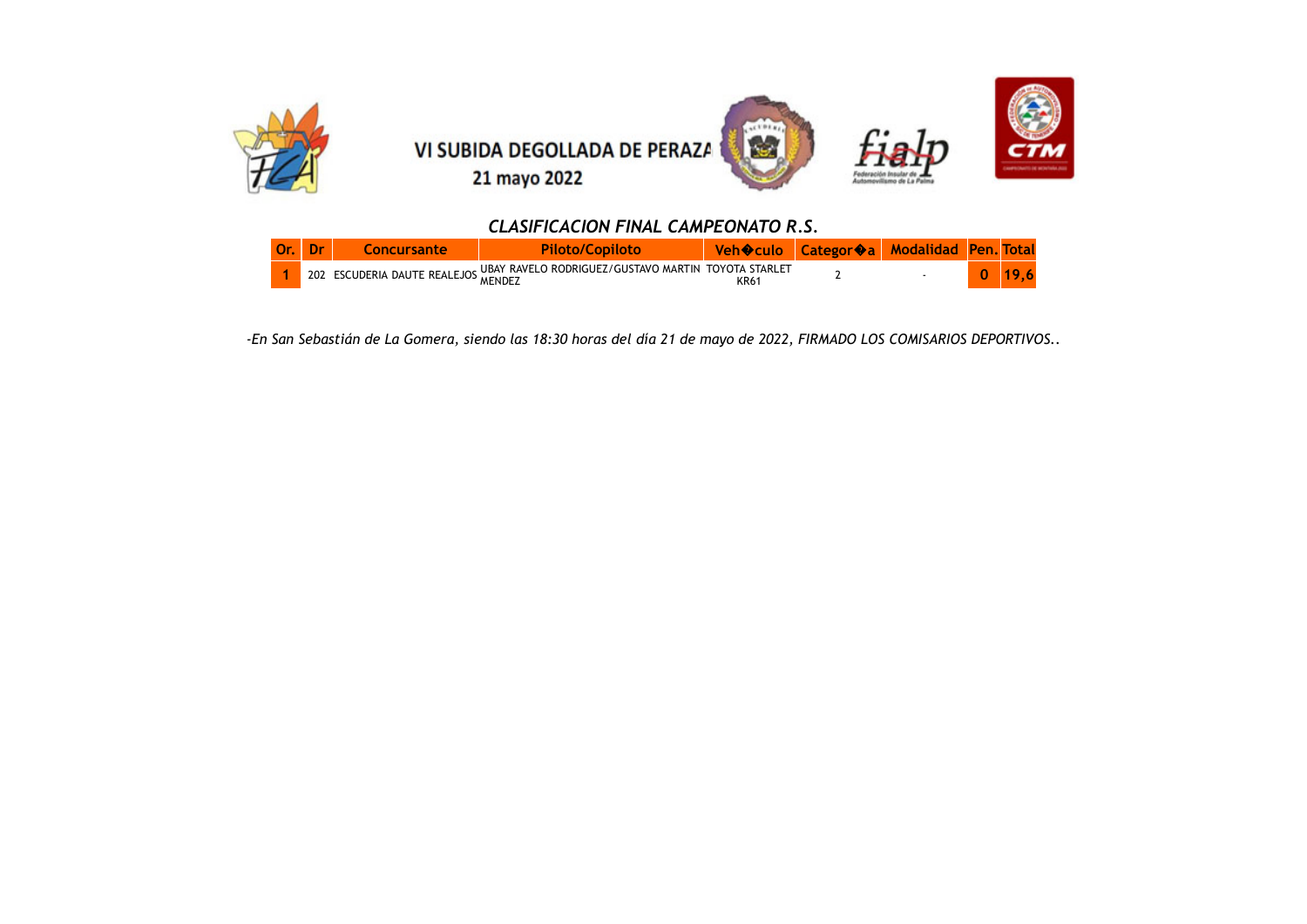

#### *CLASIFICACION FINAL CAMPEONATO R.S.*

|  |                                     |                                                       |      | Lategor�a/ | <b>Modalidad</b> |  |
|--|-------------------------------------|-------------------------------------------------------|------|------------|------------------|--|
|  | 202 ESCUDERIA DAUTE REALEJOS MENDEZ | . UBAY RAVELO RODRIGUEZ/GUSTAVO MARTIN TOYOTA STARLET | KR61 |            |                  |  |

*-En San Sebastián de La Gomera, siendo las 18:30 horas del día 21 de mayo de 2022, FIRMADO LOS COMISARIOS DEPORTIVOS..*